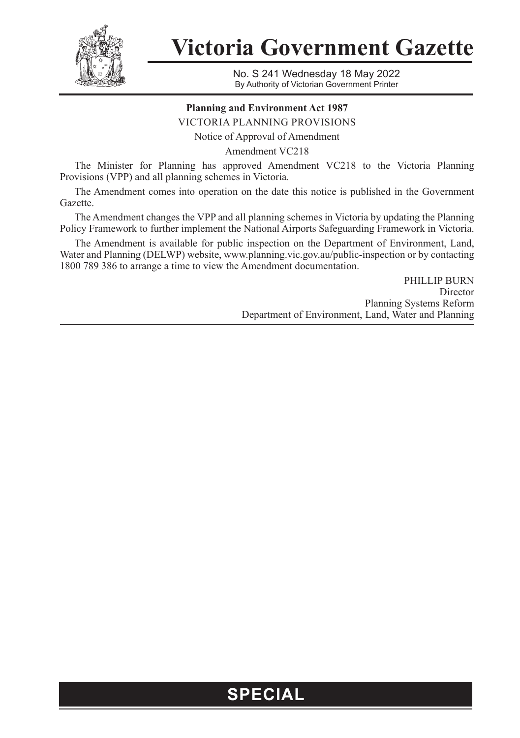

**Victoria Government Gazette**

No. S 241 Wednesday 18 May 2022 By Authority of Victorian Government Printer

## **Planning and Environment Act 1987**

VICTORIA PLANNING PROVISIONS

Notice of Approval of Amendment

Amendment VC218

The Minister for Planning has approved Amendment VC218 to the Victoria Planning Provisions (VPP) and all planning schemes in Victoria*.*

The Amendment comes into operation on the date this notice is published in the Government Gazette.

The Amendment changes the VPP and all planning schemes in Victoria by updating the Planning Policy Framework to further implement the National Airports Safeguarding Framework in Victoria.

The Amendment is available for public inspection on the Department of Environment, Land, Water and Planning (DELWP) website, www.planning.vic.gov.au/public-inspection or by contacting 1800 789 386 to arrange a time to view the Amendment documentation.

> PHILLIP BURN **Director** Planning Systems Reform Department of Environment, Land, Water and Planning

## **SPECIAL**